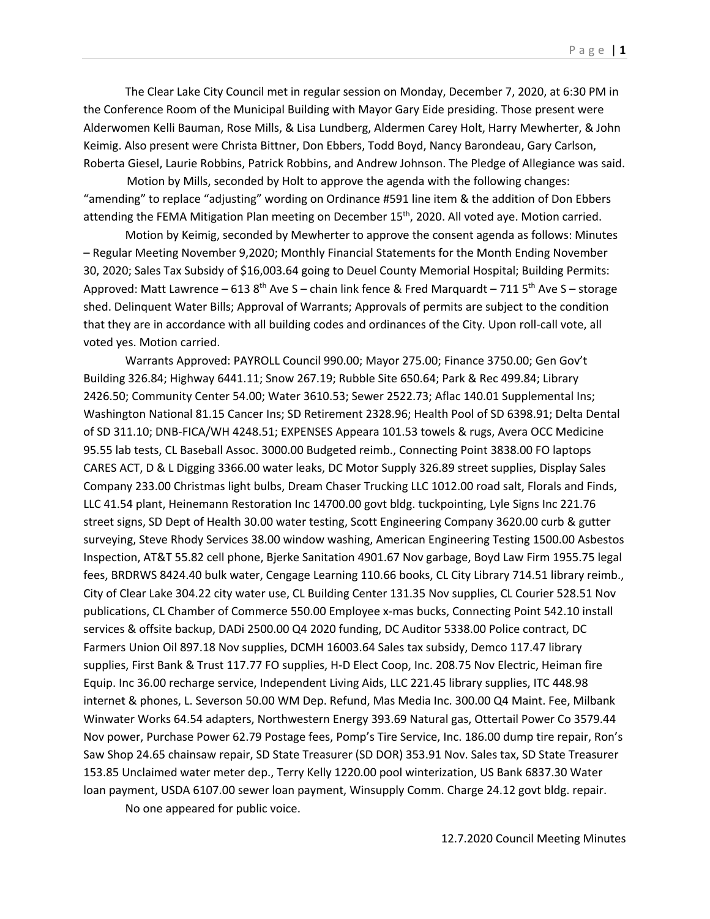The Clear Lake City Council met in regular session on Monday, December 7, 2020, at 6:30 PM in the Conference Room of the Municipal Building with Mayor Gary Eide presiding. Those present were Alderwomen Kelli Bauman, Rose Mills, & Lisa Lundberg, Aldermen Carey Holt, Harry Mewherter, & John Keimig. Also present were Christa Bittner, Don Ebbers, Todd Boyd, Nancy Barondeau, Gary Carlson, Roberta Giesel, Laurie Robbins, Patrick Robbins, and Andrew Johnson. The Pledge of Allegiance was said.

 Motion by Mills, seconded by Holt to approve the agenda with the following changes: "amending" to replace "adjusting" wording on Ordinance #591 line item & the addition of Don Ebbers attending the FEMA Mitigation Plan meeting on December 15<sup>th</sup>, 2020. All voted aye. Motion carried.

Motion by Keimig, seconded by Mewherter to approve the consent agenda as follows: Minutes – Regular Meeting November 9,2020; Monthly Financial Statements for the Month Ending November 30, 2020; Sales Tax Subsidy of \$16,003.64 going to Deuel County Memorial Hospital; Building Permits: Approved: Matt Lawrence – 613 8<sup>th</sup> Ave S – chain link fence & Fred Marquardt – 711 5<sup>th</sup> Ave S – storage shed. Delinquent Water Bills; Approval of Warrants; Approvals of permits are subject to the condition that they are in accordance with all building codes and ordinances of the City. Upon roll-call vote, all voted yes. Motion carried.

Warrants Approved: PAYROLL Council 990.00; Mayor 275.00; Finance 3750.00; Gen Gov't Building 326.84; Highway 6441.11; Snow 267.19; Rubble Site 650.64; Park & Rec 499.84; Library 2426.50; Community Center 54.00; Water 3610.53; Sewer 2522.73; Aflac 140.01 Supplemental Ins; Washington National 81.15 Cancer Ins; SD Retirement 2328.96; Health Pool of SD 6398.91; Delta Dental of SD 311.10; DNB-FICA/WH 4248.51; EXPENSES Appeara 101.53 towels & rugs, Avera OCC Medicine 95.55 lab tests, CL Baseball Assoc. 3000.00 Budgeted reimb., Connecting Point 3838.00 FO laptops CARES ACT, D & L Digging 3366.00 water leaks, DC Motor Supply 326.89 street supplies, Display Sales Company 233.00 Christmas light bulbs, Dream Chaser Trucking LLC 1012.00 road salt, Florals and Finds, LLC 41.54 plant, Heinemann Restoration Inc 14700.00 govt bldg. tuckpointing, Lyle Signs Inc 221.76 street signs, SD Dept of Health 30.00 water testing, Scott Engineering Company 3620.00 curb & gutter surveying, Steve Rhody Services 38.00 window washing, American Engineering Testing 1500.00 Asbestos Inspection, AT&T 55.82 cell phone, Bjerke Sanitation 4901.67 Nov garbage, Boyd Law Firm 1955.75 legal fees, BRDRWS 8424.40 bulk water, Cengage Learning 110.66 books, CL City Library 714.51 library reimb., City of Clear Lake 304.22 city water use, CL Building Center 131.35 Nov supplies, CL Courier 528.51 Nov publications, CL Chamber of Commerce 550.00 Employee x-mas bucks, Connecting Point 542.10 install services & offsite backup, DADi 2500.00 Q4 2020 funding, DC Auditor 5338.00 Police contract, DC Farmers Union Oil 897.18 Nov supplies, DCMH 16003.64 Sales tax subsidy, Demco 117.47 library supplies, First Bank & Trust 117.77 FO supplies, H-D Elect Coop, Inc. 208.75 Nov Electric, Heiman fire Equip. Inc 36.00 recharge service, Independent Living Aids, LLC 221.45 library supplies, ITC 448.98 internet & phones, L. Severson 50.00 WM Dep. Refund, Mas Media Inc. 300.00 Q4 Maint. Fee, Milbank Winwater Works 64.54 adapters, Northwestern Energy 393.69 Natural gas, Ottertail Power Co 3579.44 Nov power, Purchase Power 62.79 Postage fees, Pomp's Tire Service, Inc. 186.00 dump tire repair, Ron's Saw Shop 24.65 chainsaw repair, SD State Treasurer (SD DOR) 353.91 Nov. Sales tax, SD State Treasurer 153.85 Unclaimed water meter dep., Terry Kelly 1220.00 pool winterization, US Bank 6837.30 Water loan payment, USDA 6107.00 sewer loan payment, Winsupply Comm. Charge 24.12 govt bldg. repair. No one appeared for public voice.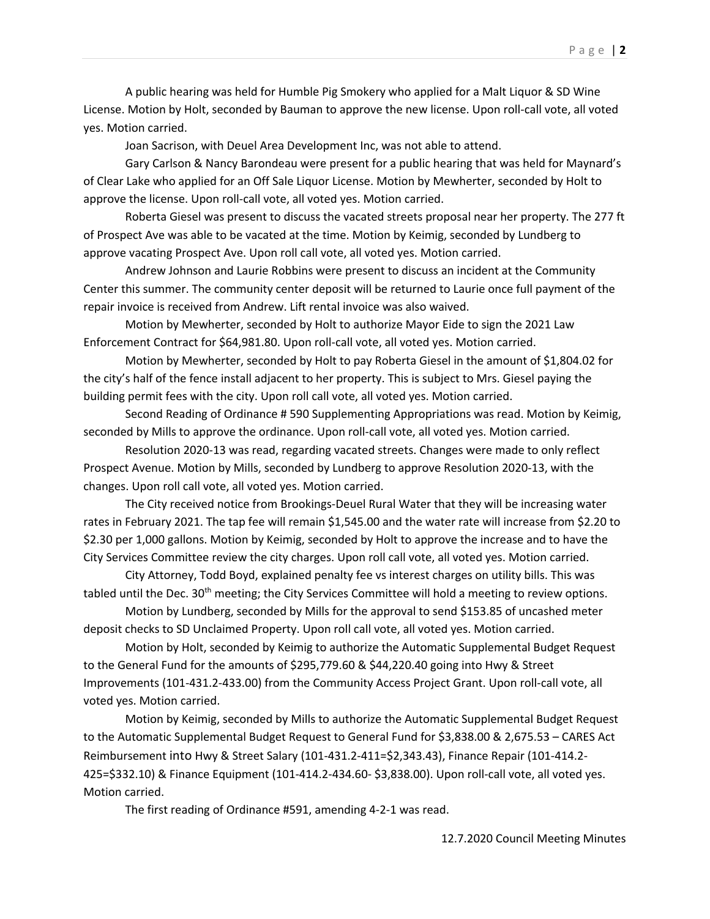A public hearing was held for Humble Pig Smokery who applied for a Malt Liquor & SD Wine License. Motion by Holt, seconded by Bauman to approve the new license. Upon roll-call vote, all voted yes. Motion carried.

Joan Sacrison, with Deuel Area Development Inc, was not able to attend.

Gary Carlson & Nancy Barondeau were present for a public hearing that was held for Maynard's of Clear Lake who applied for an Off Sale Liquor License. Motion by Mewherter, seconded by Holt to approve the license. Upon roll-call vote, all voted yes. Motion carried.

Roberta Giesel was present to discuss the vacated streets proposal near her property. The 277 ft of Prospect Ave was able to be vacated at the time. Motion by Keimig, seconded by Lundberg to approve vacating Prospect Ave. Upon roll call vote, all voted yes. Motion carried.

Andrew Johnson and Laurie Robbins were present to discuss an incident at the Community Center this summer. The community center deposit will be returned to Laurie once full payment of the repair invoice is received from Andrew. Lift rental invoice was also waived.

Motion by Mewherter, seconded by Holt to authorize Mayor Eide to sign the 2021 Law Enforcement Contract for \$64,981.80. Upon roll-call vote, all voted yes. Motion carried.

Motion by Mewherter, seconded by Holt to pay Roberta Giesel in the amount of \$1,804.02 for the city's half of the fence install adjacent to her property. This is subject to Mrs. Giesel paying the building permit fees with the city. Upon roll call vote, all voted yes. Motion carried.

Second Reading of Ordinance # 590 Supplementing Appropriations was read. Motion by Keimig, seconded by Mills to approve the ordinance. Upon roll-call vote, all voted yes. Motion carried.

Resolution 2020-13 was read, regarding vacated streets. Changes were made to only reflect Prospect Avenue. Motion by Mills, seconded by Lundberg to approve Resolution 2020-13, with the changes. Upon roll call vote, all voted yes. Motion carried.

The City received notice from Brookings-Deuel Rural Water that they will be increasing water rates in February 2021. The tap fee will remain \$1,545.00 and the water rate will increase from \$2.20 to \$2.30 per 1,000 gallons. Motion by Keimig, seconded by Holt to approve the increase and to have the City Services Committee review the city charges. Upon roll call vote, all voted yes. Motion carried.

City Attorney, Todd Boyd, explained penalty fee vs interest charges on utility bills. This was tabled until the Dec. 30<sup>th</sup> meeting; the City Services Committee will hold a meeting to review options.

Motion by Lundberg, seconded by Mills for the approval to send \$153.85 of uncashed meter deposit checks to SD Unclaimed Property. Upon roll call vote, all voted yes. Motion carried.

Motion by Holt, seconded by Keimig to authorize the Automatic Supplemental Budget Request to the General Fund for the amounts of \$295,779.60 & \$44,220.40 going into Hwy & Street Improvements (101-431.2-433.00) from the Community Access Project Grant. Upon roll-call vote, all voted yes. Motion carried.

Motion by Keimig, seconded by Mills to authorize the Automatic Supplemental Budget Request to the Automatic Supplemental Budget Request to General Fund for \$3,838.00 & 2,675.53 – CARES Act Reimbursement into Hwy & Street Salary (101-431.2-411=\$2,343.43), Finance Repair (101-414.2- 425=\$332.10) & Finance Equipment (101-414.2-434.60- \$3,838.00). Upon roll-call vote, all voted yes. Motion carried.

The first reading of Ordinance #591, amending 4-2-1 was read.